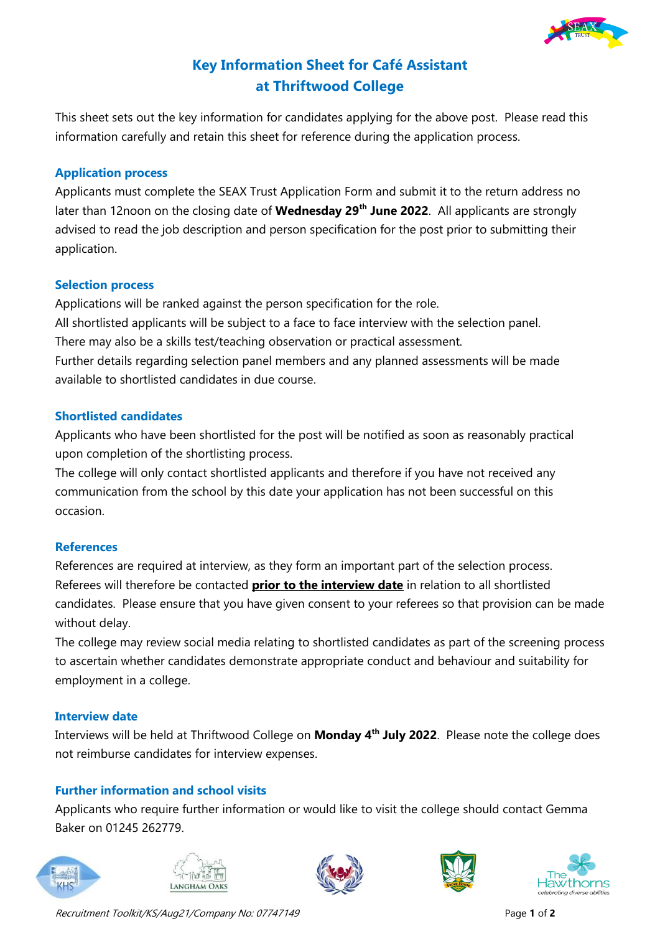

# **Key Information Sheet for Café Assistant at Thriftwood College**

This sheet sets out the key information for candidates applying for the above post. Please read this information carefully and retain this sheet for reference during the application process.

#### **Application process**

Applicants must complete the SEAX Trust Application Form and submit it to the return address no later than 12noon on the closing date of **Wednesday 29th June 2022**. All applicants are strongly advised to read the job description and person specification for the post prior to submitting their application.

### **Selection process**

Applications will be ranked against the person specification for the role. All shortlisted applicants will be subject to a face to face interview with the selection panel. There may also be a skills test/teaching observation or practical assessment. Further details regarding selection panel members and any planned assessments will be made available to shortlisted candidates in due course.

### **Shortlisted candidates**

Applicants who have been shortlisted for the post will be notified as soon as reasonably practical upon completion of the shortlisting process.

The college will only contact shortlisted applicants and therefore if you have not received any communication from the school by this date your application has not been successful on this occasion.

## **References**

References are required at interview, as they form an important part of the selection process. Referees will therefore be contacted **prior to the interview date** in relation to all shortlisted candidates. Please ensure that you have given consent to your referees so that provision can be made without delay.

The college may review social media relating to shortlisted candidates as part of the screening process to ascertain whether candidates demonstrate appropriate conduct and behaviour and suitability for employment in a college.

## **Interview date**

Interviews will be held at Thriftwood College on **Monday 4 th July 2022**. Please note the college does not reimburse candidates for interview expenses.

## **Further information and school visits**

Applicants who require further information or would like to visit the college should contact Gemma Baker on 01245 262779.











Recruitment Toolkit/KS/Aug21/Company No: 07747149 Page 1 of 2